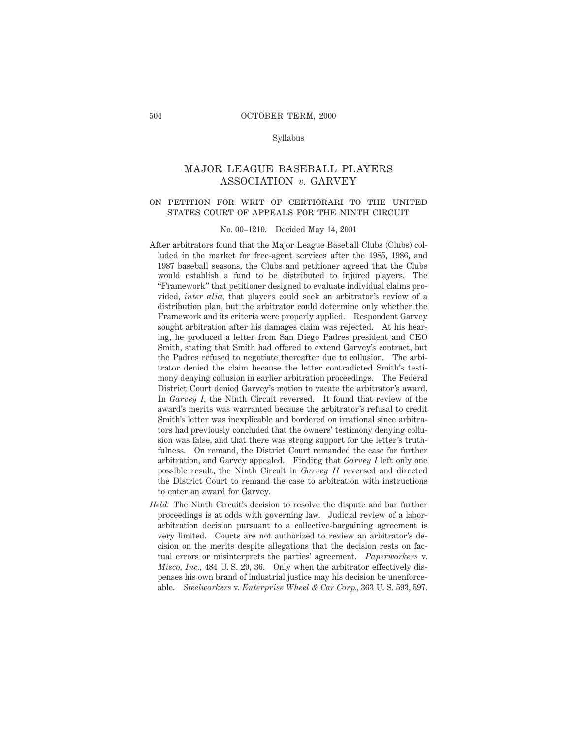#### Syllabus

# MAJOR LEAGUE BASEBALL PLAYERS ASSOCIATION *v.* GARVEY

## on petition for writ of certiorari to the unitedstates court of appeals for the ninth circuit

#### No. 00–1210. Decided May 14, 2001

- After arbitrators found that the Major League Baseball Clubs (Clubs) colluded in the market for free-agent services after the 1985, 1986, and 1987 baseball seasons, the Clubs and petitioner agreed that the Clubs would establish a fund to be distributed to injured players. The "Framework" that petitioner designed to evaluate individual claims provided, *inter alia,* that players could seek an arbitrator's review of a distribution plan, but the arbitrator could determine only whether the Framework and its criteria were properly applied. Respondent Garvey sought arbitration after his damages claim was rejected. At his hearing, he produced a letter from San Diego Padres president and CEO Smith, stating that Smith had offered to extend Garvey's contract, but the Padres refused to negotiate thereafter due to collusion. The arbitrator denied the claim because the letter contradicted Smith's testimony denying collusion in earlier arbitration proceedings. The Federal District Court denied Garvey's motion to vacate the arbitrator's award. In *Garvey I,* the Ninth Circuit reversed. It found that review of the award's merits was warranted because the arbitrator's refusal to credit Smith's letter was inexplicable and bordered on irrational since arbitrators had previously concluded that the owners' testimony denying collusion was false, and that there was strong support for the letter's truthfulness. On remand, the District Court remanded the case for further arbitration, and Garvey appealed. Finding that *Garvey I* left only one possible result, the Ninth Circuit in *Garvey II* reversed and directed the District Court to remand the case to arbitration with instructions to enter an award for Garvey*.*
- *Held:* The Ninth Circuit's decision to resolve the dispute and bar further proceedings is at odds with governing law. Judicial review of a laborarbitration decision pursuant to a collective-bargaining agreement is very limited. Courts are not authorized to review an arbitrator's decision on the merits despite allegations that the decision rests on factual errors or misinterprets the parties' agreement. *Paperworkers* v. *Misco, Inc.,* 484 U. S. 29, 36. Only when the arbitrator effectively dispenses his own brand of industrial justice may his decision be unenforceable. *Steelworkers* v. *Enterprise Wheel & Car Corp.,* 363 U. S. 593, 597.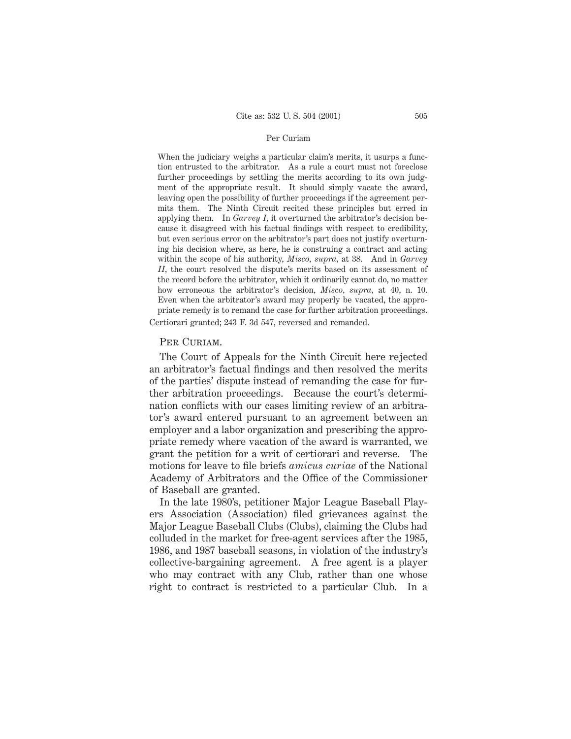When the judiciary weighs a particular claim's merits, it usurps a function entrusted to the arbitrator. As a rule a court must not foreclose further proceedings by settling the merits according to its own judgment of the appropriate result. It should simply vacate the award, leaving open the possibility of further proceedings if the agreement permits them. The Ninth Circuit recited these principles but erred in applying them. In *Garvey I,* it overturned the arbitrator's decision because it disagreed with his factual findings with respect to credibility, but even serious error on the arbitrator's part does not justify overturning his decision where, as here, he is construing a contract and acting within the scope of his authority, *Misco, supra,* at 38. And in *Garvey II,* the court resolved the dispute's merits based on its assessment of the record before the arbitrator, which it ordinarily cannot do, no matter how erroneous the arbitrator's decision, *Misco, supra,* at 40, n. 10. Even when the arbitrator's award may properly be vacated, the appropriate remedy is to remand the case for further arbitration proceedings.

Certiorari granted; 243 F. 3d 547, reversed and remanded.

#### PER CURIAM.

The Court of Appeals for the Ninth Circuit here rejected an arbitrator's factual findings and then resolved the merits of the parties' dispute instead of remanding the case for further arbitration proceedings. Because the court's determination conflicts with our cases limiting review of an arbitrator's award entered pursuant to an agreement between an employer and a labor organization and prescribing the appropriate remedy where vacation of the award is warranted, we grant the petition for a writ of certiorari and reverse. The motions for leave to file briefs *amicus curiae* of the National Academy of Arbitrators and the Office of the Commissioner of Baseball are granted.

In the late 1980's, petitioner Major League Baseball Players Association (Association) filed grievances against the Major League Baseball Clubs (Clubs), claiming the Clubs had colluded in the market for free-agent services after the 1985, 1986, and 1987 baseball seasons, in violation of the industry's collective-bargaining agreement. A free agent is a player who may contract with any Club, rather than one whose right to contract is restricted to a particular Club. In a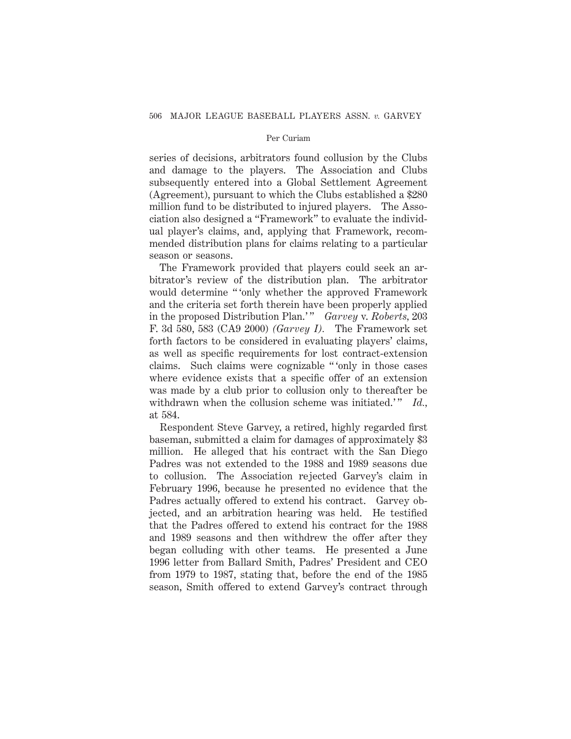series of decisions, arbitrators found collusion by the Clubs and damage to the players. The Association and Clubs subsequently entered into a Global Settlement Agreement (Agreement), pursuant to which the Clubs established a \$280 million fund to be distributed to injured players. The Association also designed a "Framework" to evaluate the individual player's claims, and, applying that Framework, recommended distribution plans for claims relating to a particular season or seasons.

The Framework provided that players could seek an arbitrator's review of the distribution plan. The arbitrator would determine " 'only whether the approved Framework and the criteria set forth therein have been properly applied in the proposed Distribution Plan.'" *Garvey* v. *Roberts*, 203 F. 3d 580, 583 (CA9 2000) *(Garvey I).* The Framework set forth factors to be considered in evaluating players' claims, as well as specific requirements for lost contract-extension claims. Such claims were cognizable " 'only in those cases where evidence exists that a specific offer of an extension was made by a club prior to collusion only to thereafter be withdrawn when the collusion scheme was initiated.'" *Id.*, at 584.

Respondent Steve Garvey, a retired, highly regarded first baseman, submitted a claim for damages of approximately \$3 million. He alleged that his contract with the San Diego Padres was not extended to the 1988 and 1989 seasons due to collusion. The Association rejected Garvey's claim in February 1996, because he presented no evidence that the Padres actually offered to extend his contract. Garvey objected, and an arbitration hearing was held. He testified that the Padres offered to extend his contract for the 1988 and 1989 seasons and then withdrew the offer after they began colluding with other teams. He presented a June 1996 letter from Ballard Smith, Padres' President and CEO from 1979 to 1987, stating that, before the end of the 1985 season, Smith offered to extend Garvey's contract through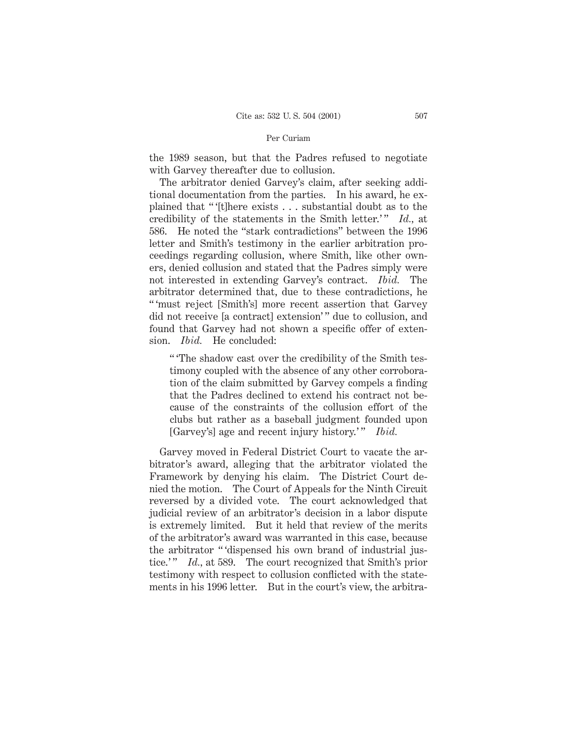the 1989 season, but that the Padres refused to negotiate with Garvey thereafter due to collusion.

The arbitrator denied Garvey's claim, after seeking additional documentation from the parties. In his award, he explained that " '[t]here exists . . . substantial doubt as to the credibility of the statements in the Smith letter.'" *Id.*, at 586. He noted the "stark contradictions" between the 1996 letter and Smith's testimony in the earlier arbitration proceedings regarding collusion, where Smith, like other owners, denied collusion and stated that the Padres simply were not interested in extending Garvey's contract. *Ibid.* The arbitrator determined that, due to these contradictions, he " 'must reject [Smith's] more recent assertion that Garvey did not receive [a contract] extension' " due to collusion, and found that Garvey had not shown a specific offer of extension. *Ibid.* He concluded:

" 'The shadow cast over the credibility of the Smith testimony coupled with the absence of any other corroboration of the claim submitted by Garvey compels a finding that the Padres declined to extend his contract not because of the constraints of the collusion effort of the clubs but rather as a baseball judgment founded upon [Garvey's] age and recent injury history.'" *Ibid.* 

Garvey moved in Federal District Court to vacate the arbitrator's award, alleging that the arbitrator violated the Framework by denying his claim. The District Court denied the motion. The Court of Appeals for the Ninth Circuit reversed by a divided vote. The court acknowledged that judicial review of an arbitrator's decision in a labor dispute is extremely limited. But it held that review of the merits of the arbitrator's award was warranted in this case, because the arbitrator " 'dispensed his own brand of industrial justice.'" *Id.*, at 589. The court recognized that Smith's prior testimony with respect to collusion conflicted with the statements in his 1996 letter. But in the court's view, the arbitra-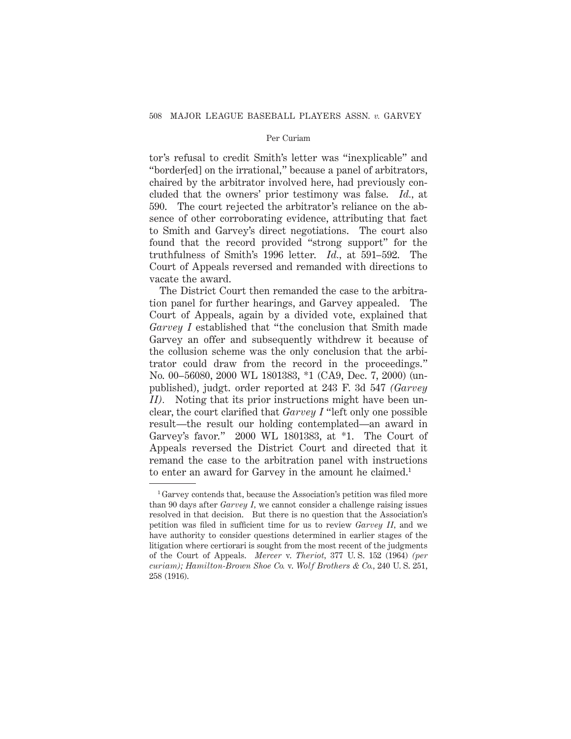tor's refusal to credit Smith's letter was "inexplicable" and "border[ed] on the irrational," because a panel of arbitrators, chaired by the arbitrator involved here, had previously concluded that the owners' prior testimony was false. *Id.,* at 590. The court rejected the arbitrator's reliance on the absence of other corroborating evidence, attributing that fact to Smith and Garvey's direct negotiations. The court also found that the record provided "strong support" for the truthfulness of Smith's 1996 letter. *Id.,* at 591–592. The Court of Appeals reversed and remanded with directions to vacate the award.

The District Court then remanded the case to the arbitration panel for further hearings, and Garvey appealed. The Court of Appeals, again by a divided vote, explained that *Garvey I* established that "the conclusion that Smith made Garvey an offer and subsequently withdrew it because of the collusion scheme was the only conclusion that the arbitrator could draw from the record in the proceedings." No. 00–56080, 2000 WL 1801383, \*1 (CA9, Dec. 7, 2000) (unpublished), judgt. order reported at 243 F. 3d 547 *(Garvey II).* Noting that its prior instructions might have been unclear, the court clarified that *Garvey I* "left only one possible result—the result our holding contemplated—an award in Garvey's favor." 2000 WL 1801383, at \*1. The Court of Appeals reversed the District Court and directed that it remand the case to the arbitration panel with instructions to enter an award for Garvey in the amount he claimed.<sup>1</sup>

<sup>&</sup>lt;sup>1</sup> Garvey contends that, because the Association's petition was filed more than 90 days after *Garvey I,* we cannot consider a challenge raising issues resolved in that decision. But there is no question that the Association's petition was filed in sufficient time for us to review *Garvey II,* and we have authority to consider questions determined in earlier stages of the litigation where certiorari is sought from the most recent of the judgments of the Court of Appeals. *Mercer* v. *Theriot,* 377 U. S. 152 (1964) *(per curiam); Hamilton-Brown Shoe Co.* v. *Wolf Brothers & Co.,* 240 U. S. 251, 258 (1916).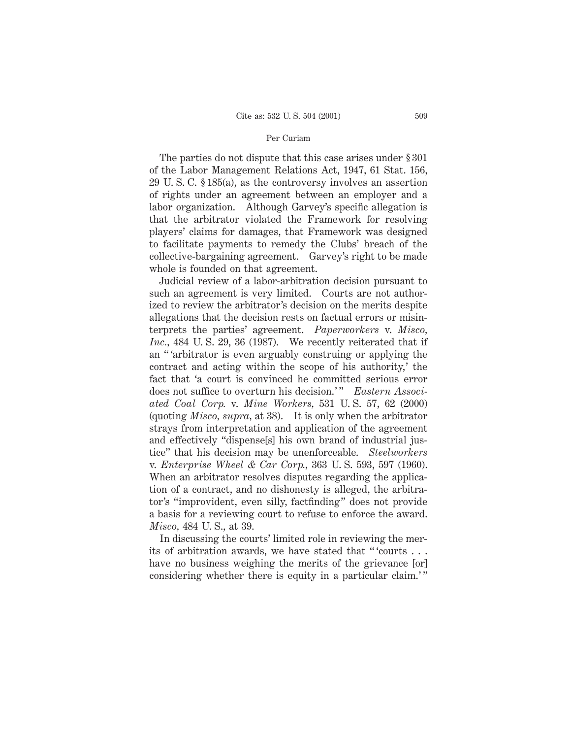The parties do not dispute that this case arises under § 301 of the Labor Management Relations Act, 1947, 61 Stat. 156, 29 U. S. C. § 185(a), as the controversy involves an assertion of rights under an agreement between an employer and a labor organization. Although Garvey's specific allegation is that the arbitrator violated the Framework for resolving players' claims for damages, that Framework was designed to facilitate payments to remedy the Clubs' breach of the collective-bargaining agreement. Garvey's right to be made whole is founded on that agreement.

Judicial review of a labor-arbitration decision pursuant to such an agreement is very limited. Courts are not authorized to review the arbitrator's decision on the merits despite allegations that the decision rests on factual errors or misinterprets the parties' agreement. *Paperworkers* v. *Misco, Inc.,* 484 U. S. 29, 36 (1987). We recently reiterated that if an " 'arbitrator is even arguably construing or applying the contract and acting within the scope of his authority,' the fact that 'a court is convinced he committed serious error does not suffice to overturn his decision.'" Eastern Associ*ated Coal Corp.* v. *Mine Workers,* 531 U. S. 57, 62 (2000) (quoting *Misco, supra,* at 38). It is only when the arbitrator strays from interpretation and application of the agreement and effectively "dispense[s] his own brand of industrial justice" that his decision may be unenforceable. *Steelworkers* v. *Enterprise Wheel & Car Corp.,* 363 U. S. 593, 597 (1960). When an arbitrator resolves disputes regarding the application of a contract, and no dishonesty is alleged, the arbitrator's "improvident, even silly, factfinding" does not provide a basis for a reviewing court to refuse to enforce the award. *Misco,* 484 U. S., at 39.

In discussing the courts' limited role in reviewing the merits of arbitration awards, we have stated that " 'courts . . . have no business weighing the merits of the grievance [or] considering whether there is equity in a particular claim.'"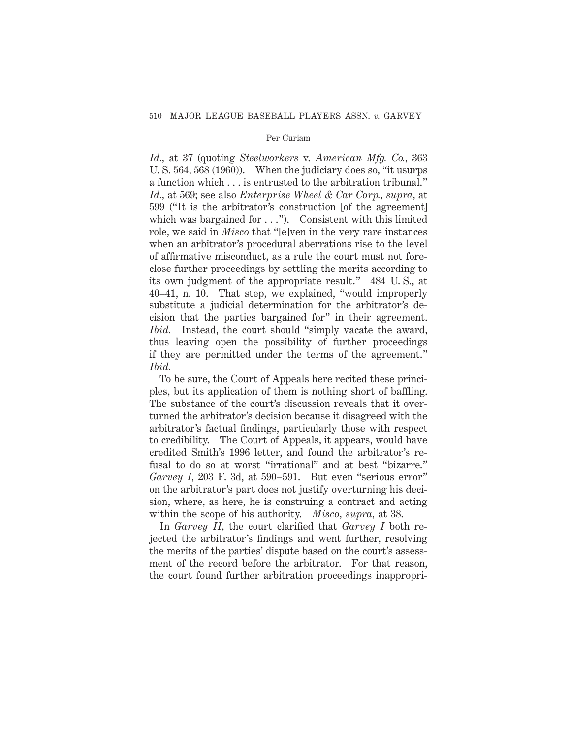*Id.,* at 37 (quoting *Steelworkers* v. *American Mfg. Co.,* 363 U. S. 564, 568 (1960)). When the judiciary does so, "it usurps a function which . . . is entrusted to the arbitration tribunal." *Id.,* at 569; see also *Enterprise Wheel & Car Corp., supra,* at 599 ("It is the arbitrator's construction [of the agreement] which was bargained for  $\dots$ "). Consistent with this limited role, we said in *Misco* that "[e]ven in the very rare instances when an arbitrator's procedural aberrations rise to the level of affirmative misconduct, as a rule the court must not foreclose further proceedings by settling the merits according to its own judgment of the appropriate result." 484 U. S., at 40–41, n. 10. That step, we explained, "would improperly substitute a judicial determination for the arbitrator's decision that the parties bargained for" in their agreement. *Ibid.* Instead, the court should "simply vacate the award, thus leaving open the possibility of further proceedings if they are permitted under the terms of the agreement." *Ibid.*

To be sure, the Court of Appeals here recited these principles, but its application of them is nothing short of baffling. The substance of the court's discussion reveals that it overturned the arbitrator's decision because it disagreed with the arbitrator's factual findings, particularly those with respect to credibility. The Court of Appeals, it appears, would have credited Smith's 1996 letter, and found the arbitrator's refusal to do so at worst "irrational" and at best "bizarre." *Garvey I*, 203 F. 3d, at 590–591. But even "serious error" on the arbitrator's part does not justify overturning his decision, where, as here, he is construing a contract and acting within the scope of his authority. *Misco, supra,* at 38.

In *Garvey II,* the court clarified that *Garvey I* both rejected the arbitrator's findings and went further, resolving the merits of the parties' dispute based on the court's assessment of the record before the arbitrator. For that reason, the court found further arbitration proceedings inappropri-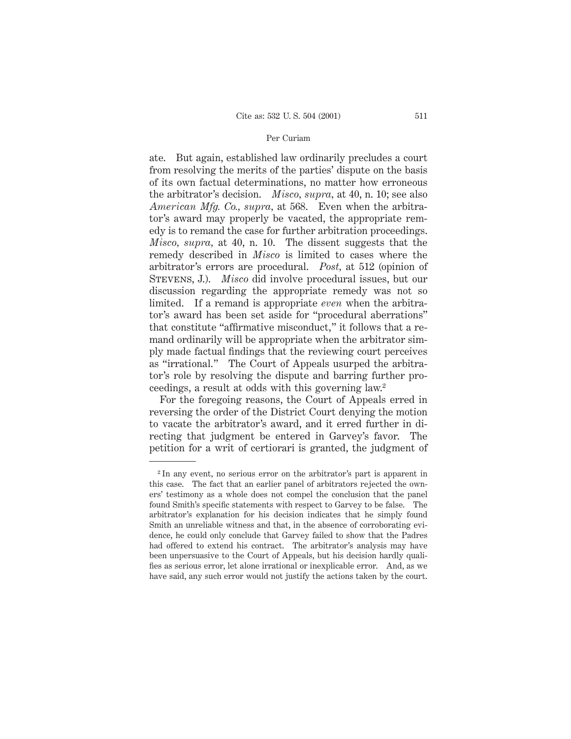ate. But again, established law ordinarily precludes a court from resolving the merits of the parties' dispute on the basis of its own factual determinations, no matter how erroneous the arbitrator's decision. *Misco, supra,* at 40, n. 10; see also *American Mfg. Co., supra,* at 568. Even when the arbitrator's award may properly be vacated, the appropriate remedy is to remand the case for further arbitration proceedings. *Misco, supra,* at 40, n. 10. The dissent suggests that the remedy described in *Misco* is limited to cases where the arbitrator's errors are procedural. *Post,* at 512 (opinion of Stevens, J.). *Misco* did involve procedural issues, but our discussion regarding the appropriate remedy was not so limited. If a remand is appropriate *even* when the arbitrator's award has been set aside for "procedural aberrations" that constitute "affirmative misconduct," it follows that a remand ordinarily will be appropriate when the arbitrator simply made factual findings that the reviewing court perceives as "irrational." The Court of Appeals usurped the arbitrator's role by resolving the dispute and barring further proceedings, a result at odds with this governing law.2

For the foregoing reasons, the Court of Appeals erred in reversing the order of the District Court denying the motion to vacate the arbitrator's award, and it erred further in directing that judgment be entered in Garvey's favor. The petition for a writ of certiorari is granted, the judgment of

<sup>2</sup> In any event, no serious error on the arbitrator's part is apparent in this case. The fact that an earlier panel of arbitrators rejected the owners' testimony as a whole does not compel the conclusion that the panel found Smith's specific statements with respect to Garvey to be false. The arbitrator's explanation for his decision indicates that he simply found Smith an unreliable witness and that, in the absence of corroborating evidence, he could only conclude that Garvey failed to show that the Padres had offered to extend his contract. The arbitrator's analysis may have been unpersuasive to the Court of Appeals, but his decision hardly qualifies as serious error, let alone irrational or inexplicable error. And, as we have said, any such error would not justify the actions taken by the court.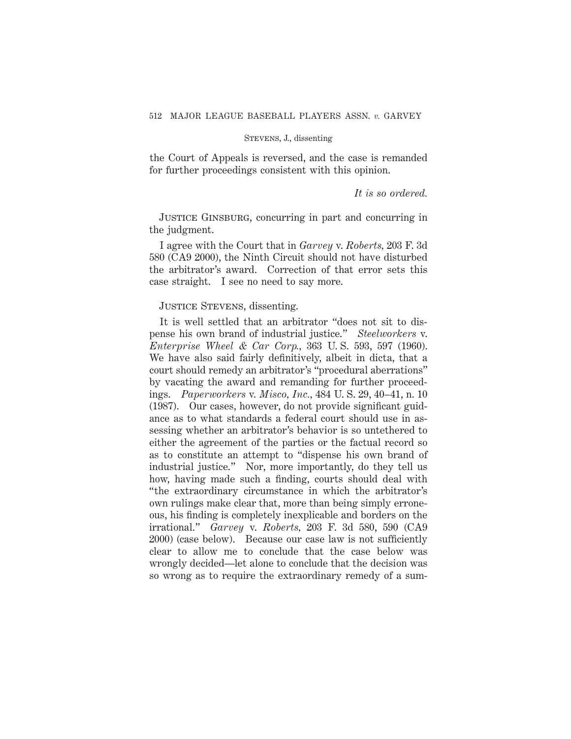# STEVENS, J., dissenting

the Court of Appeals is reversed, and the case is remanded for further proceedings consistent with this opinion.

## *It is so ordered.*

Justice Ginsburg, concurring in part and concurring in the judgment.

I agree with the Court that in *Garvey* v. *Roberts,* 203 F. 3d 580 (CA9 2000), the Ninth Circuit should not have disturbed the arbitrator's award. Correction of that error sets this case straight. I see no need to say more.

# JUSTICE STEVENS, dissenting.

It is well settled that an arbitrator "does not sit to dispense his own brand of industrial justice." *Steelworkers* v. *Enterprise Wheel & Car Corp.,* 363 U. S. 593, 597 (1960). We have also said fairly definitively, albeit in dicta, that a court should remedy an arbitrator's "procedural aberrations" by vacating the award and remanding for further proceedings. *Paperworkers* v. *Misco, Inc.,* 484 U. S. 29, 40–41, n. 10 (1987). Our cases, however, do not provide significant guidance as to what standards a federal court should use in assessing whether an arbitrator's behavior is so untethered to either the agreement of the parties or the factual record so as to constitute an attempt to "dispense his own brand of industrial justice." Nor, more importantly, do they tell us how, having made such a finding, courts should deal with "the extraordinary circumstance in which the arbitrator's own rulings make clear that, more than being simply erroneous, his finding is completely inexplicable and borders on the irrational." *Garvey* v. *Roberts,* 203 F. 3d 580, 590 (CA9 2000) (case below). Because our case law is not sufficiently clear to allow me to conclude that the case below was wrongly decided—let alone to conclude that the decision was so wrong as to require the extraordinary remedy of a sum-